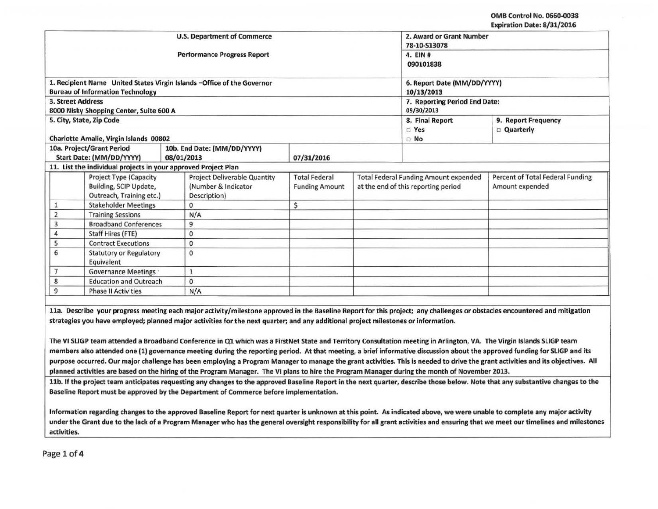**OMB Control No. 0660-0038** Expiration Date: 8/31/2016

|                          |                                              | <b>U.S. Department of Commerce</b>                                      |                       | 2. Award or Grant Number                                                                 |                                              |                                  |  |
|--------------------------|----------------------------------------------|-------------------------------------------------------------------------|-----------------------|------------------------------------------------------------------------------------------|----------------------------------------------|----------------------------------|--|
|                          |                                              |                                                                         |                       | 78-10-S13078                                                                             |                                              |                                  |  |
|                          |                                              | <b>Performance Progress Report</b>                                      |                       | 4. EIN #<br>090101838                                                                    |                                              |                                  |  |
|                          |                                              |                                                                         |                       |                                                                                          |                                              |                                  |  |
|                          |                                              | 1. Recipient Name United States Virgin Islands - Office of the Governor |                       | 6. Report Date (MM/DD/YYYY)<br>10/13/2013<br>7. Reporting Period End Date:<br>09/30/2013 |                                              |                                  |  |
|                          | <b>Bureau of Information Technology</b>      |                                                                         |                       |                                                                                          |                                              |                                  |  |
| <b>3. Street Address</b> |                                              |                                                                         |                       |                                                                                          |                                              |                                  |  |
|                          | 8000 Nisky Shopping Center, Suite 600 A      |                                                                         |                       |                                                                                          |                                              |                                  |  |
|                          | 5. City, State, Zip Code                     |                                                                         |                       |                                                                                          | 8. Final Report                              | 9. Report Frequency              |  |
|                          |                                              |                                                                         |                       |                                                                                          | □ Yes                                        | <b>Quarterly</b>                 |  |
|                          | Charlotte Amalie, Virgin Islands 00802       |                                                                         |                       |                                                                                          | $\Box$ No                                    |                                  |  |
|                          | 10a. Project/Grant Period                    | 10b. End Date: (MM/DD/YYYY)                                             |                       |                                                                                          |                                              |                                  |  |
|                          | Start Date: (MM/DD/YYYY)                     | 08/01/2013                                                              | 07/31/2016            |                                                                                          |                                              |                                  |  |
|                          |                                              | 11. List the individual projects in your approved Project Plan          |                       |                                                                                          |                                              |                                  |  |
|                          | Project Type (Capacity                       | <b>Project Deliverable Quantity</b>                                     | <b>Total Federal</b>  |                                                                                          | <b>Total Federal Funding Amount expended</b> | Percent of Total Federal Funding |  |
|                          | Building, SCIP Update,                       | (Number & Indicator                                                     | <b>Funding Amount</b> |                                                                                          | at the end of this reporting period          | Amount expended                  |  |
|                          | Outreach, Training etc.)                     | Description)                                                            |                       |                                                                                          |                                              |                                  |  |
| 1                        | <b>Stakeholder Meetings</b>                  | $\mathbf{0}$                                                            | \$                    |                                                                                          |                                              |                                  |  |
| $\overline{2}$           | <b>Training Sessions</b>                     | N/A                                                                     |                       |                                                                                          |                                              |                                  |  |
| 3                        | <b>Broadband Conferences</b>                 | 9                                                                       |                       |                                                                                          |                                              |                                  |  |
| 4                        | <b>Staff Hires (FTE)</b>                     | $\mathbf{0}$                                                            |                       |                                                                                          |                                              |                                  |  |
| 5                        | <b>Contract Executions</b>                   | 0                                                                       |                       |                                                                                          |                                              |                                  |  |
| 6                        | <b>Statutory or Regulatory</b><br>Equivalent | 0                                                                       |                       |                                                                                          |                                              |                                  |  |
| $\overline{7}$           | <b>Governance Meetings</b>                   | $\mathbf{1}$                                                            |                       |                                                                                          |                                              |                                  |  |
| 8                        | <b>Education and Outreach</b>                | $\overline{0}$                                                          |                       |                                                                                          |                                              |                                  |  |
| 9                        | <b>Phase II Activities</b>                   | N/A                                                                     |                       |                                                                                          |                                              |                                  |  |
|                          |                                              |                                                                         |                       |                                                                                          |                                              |                                  |  |

activities. Page 1 of 4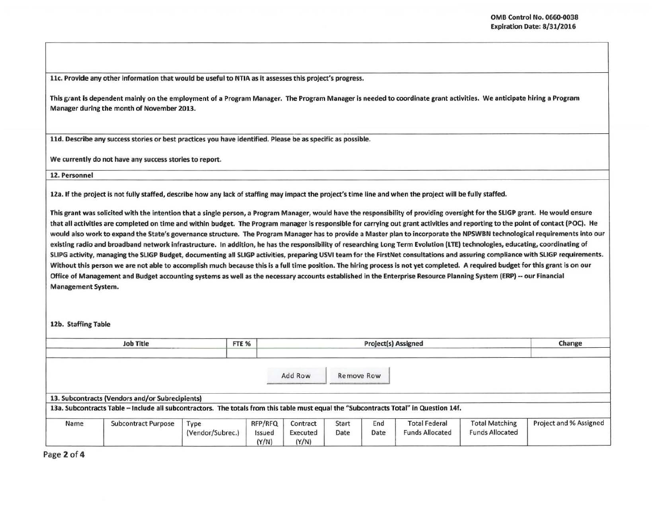llc. Provide any other information that would be useful to NTIA as it assesses this project's progress.

This grant is dependent mainly on the employment of a Program Manager. The Program Manager is needed to coordinate grant activities. We anticipate hiring a Program Manager during the month of November 2013.

lld. Describe any success stories or best practices you have identified. Please be as specific as possible.

We currently do not have any success stories to report.

12. Personnel

12a. If the project is not fully staffed, describe how any lack of staffing may impact the project's time line and when the project will be fully staffed.

This grant was solicited with the intention that a single person, a Program Manager, would have the responsibility of providing oversight for the SLIGP grant. He would ensure that all activities are completed on time and within budget. The Program manager is responsible for carrying out grant activities and reporting to the point of contact (POC). He would also work to expand the State's governance structure. The Program Manager has to provide a Master plan to incorporate the NPSWBN technological requirements into our existing radio and broadband network infrastructure. In addition, he has the responsibility of researching Long Term Evolution (LTE) technologies, educating, coordinating of SLIPG activity, managing the SLIGP Budget, documenting all SLIGP activities, preparing USVI team for the FirstNet consultations and assuring compliance with SLIGP requirements. Without this person we are not able to accomplish much because this is a full time position. The hiring process is not yet completed. A required budget for this grant is on our Office of Management and Budget accounting systems as well as the necessary accounts established In the Enterprise Resource Planning System (ERP) ··our Financial Management System.

| 12b. Staffing Table |                                                                                                                                       |                          |                            |                               |               |             |                                                |                                                 |                        |
|---------------------|---------------------------------------------------------------------------------------------------------------------------------------|--------------------------|----------------------------|-------------------------------|---------------|-------------|------------------------------------------------|-------------------------------------------------|------------------------|
|                     | <b>Job Title</b>                                                                                                                      | FTE %                    |                            |                               | Change        |             |                                                |                                                 |                        |
|                     |                                                                                                                                       |                          |                            | Add Row                       | Remove Row    |             |                                                |                                                 |                        |
|                     | 13. Subcontracts (Vendors and/or Subrecipients)                                                                                       |                          |                            |                               |               |             |                                                |                                                 |                        |
|                     | 13a. Subcontracts Table - Include all subcontractors. The totals from this table must equal the "Subcontracts Total" in Question 14f. |                          |                            |                               |               |             |                                                |                                                 |                        |
| Name                | <b>Subcontract Purpose</b>                                                                                                            | Type<br>(Vendor/Subrec.) | RFP/RFQ<br>Issued<br>(Y/N) | Contract<br>Executed<br>(Y/N) | Start<br>Date | End<br>Date | <b>Total Federal</b><br><b>Funds Allocated</b> | <b>Total Matching</b><br><b>Funds Allocated</b> | Project and % Assigned |

Page 2 of 4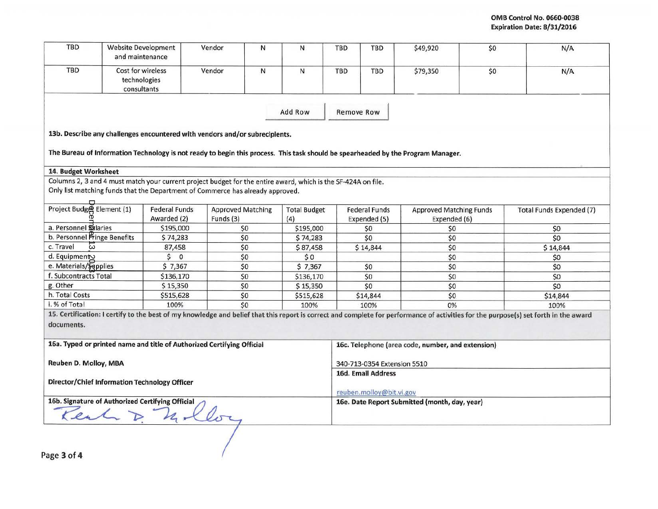| TBD                                                                    | Cost for wireless<br>technologies<br>consultants |                      | Vendor<br>N                                                                                                                      | N                   |                   |                                                   |                                               |     |                                                                                                                                                                                      |  |  |
|------------------------------------------------------------------------|--------------------------------------------------|----------------------|----------------------------------------------------------------------------------------------------------------------------------|---------------------|-------------------|---------------------------------------------------|-----------------------------------------------|-----|--------------------------------------------------------------------------------------------------------------------------------------------------------------------------------------|--|--|
|                                                                        |                                                  |                      |                                                                                                                                  |                     | <b>TBD</b>        | <b>TBD</b>                                        | \$79,350                                      | \$0 | N/A                                                                                                                                                                                  |  |  |
|                                                                        |                                                  |                      |                                                                                                                                  | Add Row             | <b>Remove Row</b> |                                                   |                                               |     |                                                                                                                                                                                      |  |  |
|                                                                        |                                                  |                      | 13b. Describe any challenges encountered with vendors and/or subrecipients.                                                      |                     |                   |                                                   |                                               |     |                                                                                                                                                                                      |  |  |
|                                                                        |                                                  |                      |                                                                                                                                  |                     |                   |                                                   |                                               |     |                                                                                                                                                                                      |  |  |
|                                                                        |                                                  |                      | The Bureau of Information Technology is not ready to begin this process. This task should be spearheaded by the Program Manager. |                     |                   |                                                   |                                               |     |                                                                                                                                                                                      |  |  |
| 14. Budget Worksheet                                                   |                                                  |                      |                                                                                                                                  |                     |                   |                                                   |                                               |     |                                                                                                                                                                                      |  |  |
|                                                                        |                                                  |                      | Columns 2, 3 and 4 must match your current project budget for the entire award, which is the SF-424A on file.                    |                     |                   |                                                   |                                               |     |                                                                                                                                                                                      |  |  |
|                                                                        |                                                  |                      | Only list matching funds that the Department of Commerce has already approved.                                                   |                     |                   |                                                   |                                               |     |                                                                                                                                                                                      |  |  |
|                                                                        |                                                  |                      |                                                                                                                                  |                     |                   |                                                   |                                               |     |                                                                                                                                                                                      |  |  |
| Project Budg Element (1)                                               |                                                  | <b>Federal Funds</b> | <b>Approved Matching</b>                                                                                                         | <b>Total Budget</b> |                   | <b>Federal Funds</b>                              | <b>Approved Matching Funds</b>                |     | <b>Total Funds Expended (7)</b>                                                                                                                                                      |  |  |
|                                                                        |                                                  | Awarded (2)          | Funds (3)                                                                                                                        | (4)                 |                   | Expended (5)                                      | Expended (6)                                  |     |                                                                                                                                                                                      |  |  |
| a. Personnel Salaries                                                  |                                                  | \$195,000            | \$0                                                                                                                              | \$195,000           |                   | \$0                                               | \$0                                           |     | \$0                                                                                                                                                                                  |  |  |
| b. Personnel Fringe Benefits                                           |                                                  | \$74,283             | \$0                                                                                                                              | \$74,283            |                   | 50                                                | \$0                                           |     | 50                                                                                                                                                                                   |  |  |
| c. Travel<br>ω                                                         |                                                  | 87,458               | \$0                                                                                                                              | \$87,458            |                   | \$14,844                                          | \$0                                           |     | \$14,844                                                                                                                                                                             |  |  |
| d. Equipment                                                           |                                                  | 50                   | \$0                                                                                                                              | \$0                 |                   |                                                   | \$0                                           |     | \$0                                                                                                                                                                                  |  |  |
| e. Materials/Supplies                                                  |                                                  | \$7,367              | \$0                                                                                                                              | \$7,367             |                   | \$0                                               | \$0                                           |     | \$0                                                                                                                                                                                  |  |  |
| f. Subcontracts Total                                                  |                                                  | \$136,170            | \$0                                                                                                                              | \$136,170           |                   | \$0                                               | \$0                                           |     | \$0                                                                                                                                                                                  |  |  |
| g. Other                                                               |                                                  | \$15,350             | \$0                                                                                                                              | \$15,350            |                   | \$0                                               | \$0                                           |     | \$0                                                                                                                                                                                  |  |  |
| h. Total Costs                                                         |                                                  | \$515,628            | \$0                                                                                                                              | \$515,628           |                   | \$14,844                                          | \$0                                           |     | \$14,844                                                                                                                                                                             |  |  |
| i. % of Total                                                          |                                                  | 100%                 | \$0                                                                                                                              | 100%                |                   | 100%                                              | 0%                                            |     | 100%                                                                                                                                                                                 |  |  |
| documents.                                                             |                                                  |                      |                                                                                                                                  |                     |                   |                                                   |                                               |     | 15. Certification: I certify to the best of my knowledge and belief that this report is correct and complete for performance of activities for the purpose(s) set forth in the award |  |  |
| 16a. Typed or printed name and title of Authorized Certifying Official |                                                  |                      |                                                                                                                                  |                     |                   | 16c. Telephone (area code, number, and extension) |                                               |     |                                                                                                                                                                                      |  |  |
| Reuben D. Molloy, MBA                                                  |                                                  |                      |                                                                                                                                  |                     |                   | 340-713-0354 Extension 5510<br>16d. Email Address |                                               |     |                                                                                                                                                                                      |  |  |
|                                                                        |                                                  |                      |                                                                                                                                  |                     |                   |                                                   |                                               |     |                                                                                                                                                                                      |  |  |
|                                                                        |                                                  |                      |                                                                                                                                  |                     |                   | reuben.molloy@bit.vi.gov                          |                                               |     |                                                                                                                                                                                      |  |  |
|                                                                        | 16b. Signature of Authorized Certifying Official |                      |                                                                                                                                  |                     |                   |                                                   | 16e. Date Report Submitted (month, day, year) |     |                                                                                                                                                                                      |  |  |
|                                                                        | Real & Millo                                     |                      |                                                                                                                                  |                     |                   |                                                   |                                               |     |                                                                                                                                                                                      |  |  |